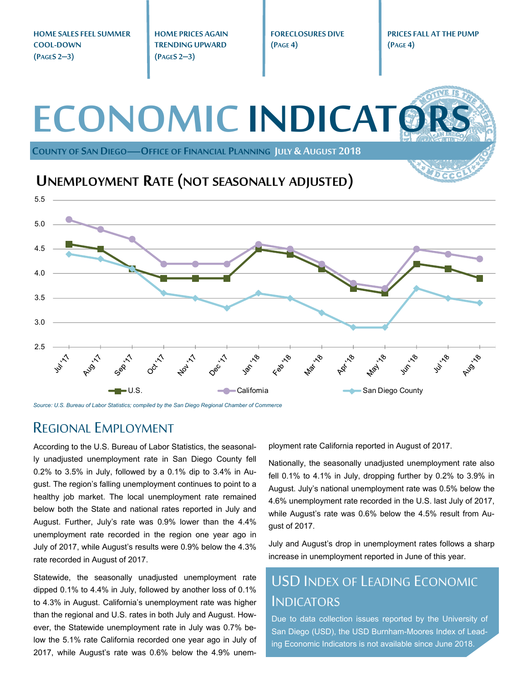**HOME PRICES AGAIN TRENDING UPWARD (PAGES 2–3)** 

**FORECLOSURES DIVE (PAGE 4)** 

**PRICES FALL AT THE PUMP (PAGE 4)** 

# **ECONOMIC INDICATO COUNTY OF SAN DIEGO—OFFICE OF FINANCIAL PLANNING JULY & AUGUST 2018** 4.5 5.0 5.5 **UNEMPLOYMENT RATE (NOT SEASONALLY ADJUSTED)**



*Source: U.S. Bureau of Labor Statistics; compiled by the San Diego Regional Chamber of Commerce* 

### REGIONAL EMPLOYMENT

According to the U.S. Bureau of Labor Statistics, the seasonally unadjusted unemployment rate in San Diego County fell 0.2% to 3.5% in July, followed by a 0.1% dip to 3.4% in August. The region's falling unemployment continues to point to a healthy job market. The local unemployment rate remained below both the State and national rates reported in July and August. Further, July's rate was 0.9% lower than the 4.4% unemployment rate recorded in the region one year ago in July of 2017, while August's results were 0.9% below the 4.3% rate recorded in August of 2017.

Statewide, the seasonally unadjusted unemployment rate dipped 0.1% to 4.4% in July, followed by another loss of 0.1% to 4.3% in August. California's unemployment rate was higher than the regional and U.S. rates in both July and August. However, the Statewide unemployment rate in July was 0.7% below the 5.1% rate California recorded one year ago in July of 2017, while August's rate was 0.6% below the 4.9% unemployment rate California reported in August of 2017.

Nationally, the seasonally unadjusted unemployment rate also fell 0.1% to 4.1% in July, dropping further by 0.2% to 3.9% in August. July's national unemployment rate was 0.5% below the 4.6% unemployment rate recorded in the U.S. last July of 2017, while August's rate was 0.6% below the 4.5% result from August of 2017.

July and August's drop in unemployment rates follows a sharp increase in unemployment reported in June of this year.

# USD INDEX OF LEADING ECONOMIC **INDICATORS**

Due to data collection issues reported by the University of San Diego (USD), the USD Burnham-Moores Index of Leading Economic Indicators is not available since June 2018.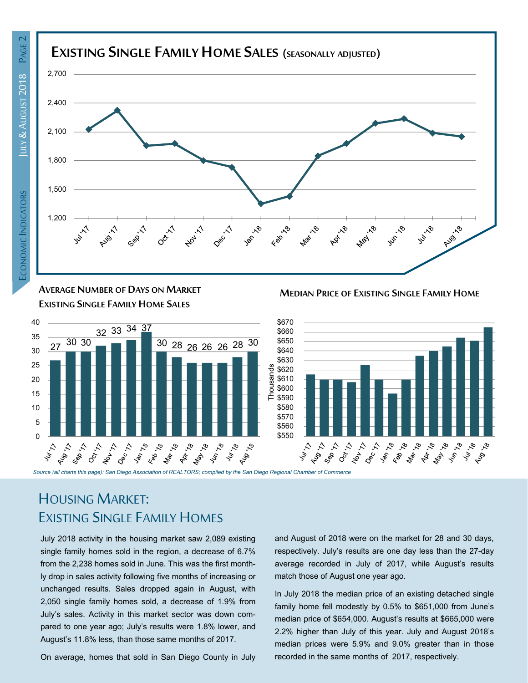

**AVERAGE NUMBER OF DAYS ON MARKET EXISTING SINGLE FAMILY HOME SALES**



**MEDIAN PRICE OF EXISTING SINGLE FAMILY HOME**



# HOUSING MARKET: EXISTING SINGLE FAMILY HOMES

July 2018 activity in the housing market saw 2,089 existing single family homes sold in the region, a decrease of 6.7% from the 2,238 homes sold in June. This was the first monthly drop in sales activity following five months of increasing or unchanged results. Sales dropped again in August, with 2,050 single family homes sold, a decrease of 1.9% from July's sales. Activity in this market sector was down compared to one year ago; July's results were 1.8% lower, and August's 11.8% less, than those same months of 2017.

On average, homes that sold in San Diego County in July

and August of 2018 were on the market for 28 and 30 days, respectively. July's results are one day less than the 27-day average recorded in July of 2017, while August's results match those of August one year ago.

In July 2018 the median price of an existing detached single family home fell modestly by 0.5% to \$651,000 from June's median price of \$654,000. August's results at \$665,000 were 2.2% higher than July of this year. July and August 2018's median prices were 5.9% and 9.0% greater than in those recorded in the same months of 2017, respectively.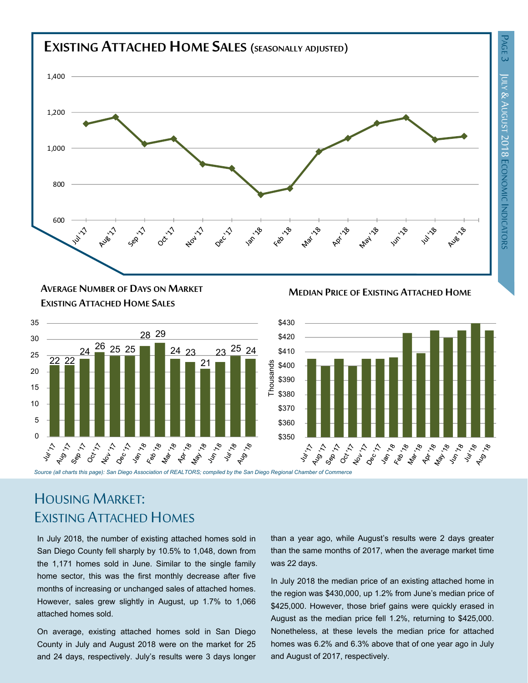

**MEDIAN PRICE OF EXISTING ATTACHED HOME AVERAGE NUMBER OF DAYS ON MARKET EXISTING ATTACHED HOME SALES**





# HOUSING MARKET: EXISTING ATTACHED HOMES

In July 2018, the number of existing attached homes sold in San Diego County fell sharply by 10.5% to 1,048, down from the 1,171 homes sold in June. Similar to the single family home sector, this was the first monthly decrease after five months of increasing or unchanged sales of attached homes. However, sales grew slightly in August, up 1.7% to 1,066 attached homes sold.

On average, existing attached homes sold in San Diego County in July and August 2018 were on the market for 25 and 24 days, respectively. July's results were 3 days longer

than a year ago, while August's results were 2 days greater than the same months of 2017, when the average market time was 22 days.

In July 2018 the median price of an existing attached home in the region was \$430,000, up 1.2% from June's median price of \$425,000. However, those brief gains were quickly erased in August as the median price fell 1.2%, returning to \$425,000. Nonetheless, at these levels the median price for attached homes was 6.2% and 6.3% above that of one year ago in July and August of 2017, respectively.